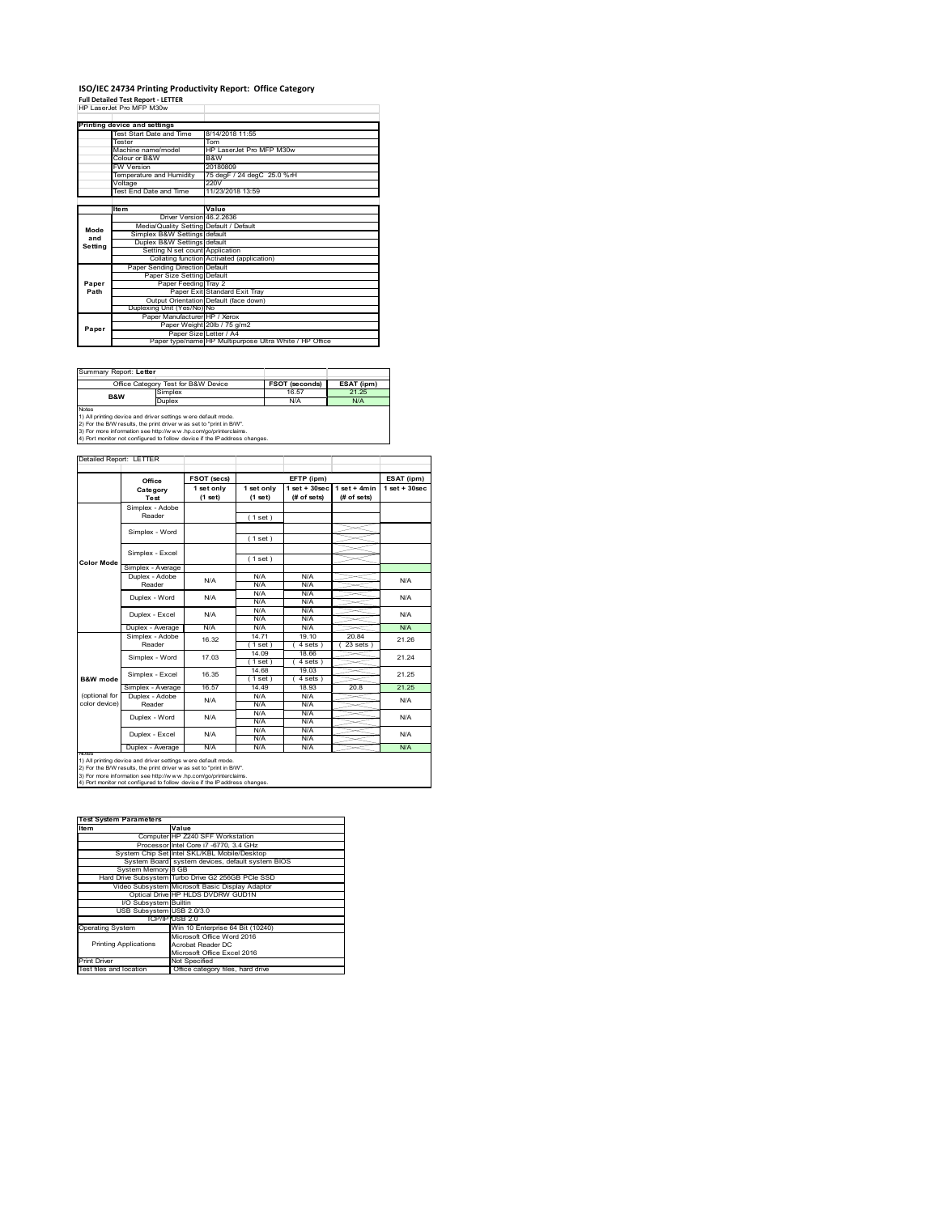# **ISO/IEC 24734 Printing Productivity Report: Office Category Full Detailed Test Report ‐ LETTER** HP LaserJet Pro MFP M30w

| 88. 88. 89 PM PM PM PM |                                         |                                                         |
|------------------------|-----------------------------------------|---------------------------------------------------------|
|                        |                                         |                                                         |
|                        | Printing device and settings            |                                                         |
|                        | Test Start Date and Time                | 8/14/2018 11:55                                         |
|                        | Tester                                  | Tom                                                     |
|                        | Machine name/model                      | HP LaserJet Pro MFP M30w                                |
|                        | Colour or B&W                           | B&W                                                     |
|                        | <b>FW Version</b>                       | 20180809                                                |
|                        | Temperature and Humidity                | 75 degF / 24 degC 25.0 %rH                              |
|                        | Voltage                                 | 220V                                                    |
|                        | Test End Date and Time                  | 11/23/2018 13:59                                        |
|                        |                                         |                                                         |
|                        | <b>Item</b>                             | Value                                                   |
|                        | Driver Version 46.2.2636                |                                                         |
| Mode                   | Media/Quality Setting Default / Default |                                                         |
| and                    | Simplex B&W Settings default            |                                                         |
| Setting                | Duplex B&W Settings default             |                                                         |
|                        | Setting N set count Application         |                                                         |
|                        |                                         | Collating function Activated (application)              |
|                        | Paper Sending Direction Default         |                                                         |
|                        | Paper Size Setting Default              |                                                         |
| Paper                  | Paper Feeding Tray 2                    |                                                         |
| Path                   |                                         | Paper Exit Standard Exit Tray                           |
|                        |                                         | Output Orientation Default (face down)                  |
|                        | Duplexing Unit (Yes/No) No              |                                                         |
|                        | Paper Manufacturer HP / Xerox           |                                                         |
| Paper                  |                                         | Paper Weight 20lb / 75 g/m2                             |
|                        | Paper Size Letter / A4                  |                                                         |
|                        |                                         | Paper type/name HP Multipurpose Ultra White / HP Office |

| Summary Report: Letter                                                     |                                     |                       |            |  |  |
|----------------------------------------------------------------------------|-------------------------------------|-----------------------|------------|--|--|
|                                                                            | Office Category Test for B&W Device | <b>FSOT (seconds)</b> | ESAT (ipm) |  |  |
| Simplex<br><b>B&amp;W</b>                                                  |                                     | 16.57                 | 21 25      |  |  |
| Duplex                                                                     |                                     | N/A                   | N/A        |  |  |
| <b>Notes</b>                                                               |                                     |                       |            |  |  |
| 1) All printing device and driver settings were default mode.              |                                     |                       |            |  |  |
| 2) For the B/W results, the print driver was set to "print in B/W".        |                                     |                       |            |  |  |
| 3) For more information see http://www.hp.com/go/printerclaims.            |                                     |                       |            |  |  |
| 4) Port monitor not configured to follow device if the IP address changes. |                                     |                       |            |  |  |

|                   | Office            | <b>FSOT (secs)</b>    |                       | EFTP (ipm)                        |                               | ESAT (ipm)       |       |
|-------------------|-------------------|-----------------------|-----------------------|-----------------------------------|-------------------------------|------------------|-------|
|                   | Category<br>Test  | 1 set only<br>(1 set) | 1 set only<br>(1 set) | $1$ set + $30$ sec<br>(# of sets) | $1$ set + 4min<br>(# of sets) | $1$ set + 30sec. |       |
|                   | Simplex - Adobe   |                       |                       |                                   |                               |                  |       |
|                   | Reader            |                       | (1 set)               |                                   |                               |                  |       |
|                   |                   |                       |                       |                                   |                               |                  |       |
|                   | Simplex - Word    |                       | (1 set)               |                                   |                               |                  |       |
|                   | Simplex - Excel   |                       |                       |                                   |                               |                  |       |
|                   |                   |                       | (1 set)               |                                   |                               |                  |       |
| <b>Color Mode</b> | Simplex - Average |                       |                       |                                   |                               |                  |       |
|                   | Duplex - Adobe    | N/A                   | N/A                   | N/A                               |                               | N/A              |       |
|                   | Reader            |                       | N/A                   | N/A                               |                               |                  |       |
|                   | Duplex - Word     | N/A                   | N/A                   | N/A                               |                               | N/A              |       |
|                   |                   |                       | N/A                   | N/A                               |                               |                  |       |
|                   | Duplex - Excel    | N/A                   | N/A                   | N/A                               |                               | N/A              |       |
|                   |                   |                       | N/A                   | N/A                               |                               |                  |       |
|                   | Duplex - Average  | N/A                   | N/A                   | N/A                               |                               | <b>N/A</b>       |       |
|                   | Simplex - Adobe   | 16.32                 | 14.71                 | 19.10                             | 2084                          | 21.26            |       |
|                   | Reader            |                       | $1$ set               | 4 sets 1                          | 23 sets                       |                  |       |
|                   | Simplex - Word    | 17.03                 | 14 09                 | 18.66                             |                               | 21.24            |       |
|                   |                   |                       | $1$ set               | 4 sets)                           |                               |                  |       |
|                   | Simplex - Excel   |                       | 16.35                 | 14.68                             | 19.03                         |                  | 21.25 |
| B&W mode          |                   |                       | $1$ set)              | $4 sets$ )                        |                               |                  |       |
|                   | Simplex - Average | 16.57                 | 14 49                 | 18 93                             | 20.8                          | 21 25            |       |
| (optional for     | Duplex - Adobe    | N/A                   | N/A                   | N/A                               |                               | N/A              |       |
| color device)     | Reader            |                       | N/A                   | N/A                               |                               |                  |       |
|                   | Duplex - Word     | N/A                   | N/A                   | N/A                               |                               | N/A              |       |
|                   |                   |                       | N/A                   | N/A                               |                               |                  |       |
|                   | Duplex - Excel    | N/A                   | N/A                   | N/A                               |                               | N/A              |       |
|                   |                   |                       | N/A                   | N/A                               |                               |                  |       |
| <b>NOTAS</b>      | Duplex - Average  | N/A                   | N/A                   | N/A                               |                               | N/A              |       |

2) For the B/W results, the print driver w as set to "print in B/W".<br>3) For more information see http://w w w .hp.com/go/printerclaims.<br>4) Port monitor not configured to follow device if the IP address changes.

| <b>Test System Parameters</b> |                                                    |
|-------------------------------|----------------------------------------------------|
| Item                          | Value                                              |
|                               | Computer HP Z240 SFF Workstation                   |
|                               | Processor Intel Core i7 -6770, 3.4 GHz             |
|                               | System Chip Set Intel SKL/KBL Mobile/Desktop       |
|                               | System Board system devices, default system BIOS   |
| System Memory 8 GB            |                                                    |
|                               | Hard Drive Subsystem Turbo Drive G2 256GB PCle SSD |
|                               | Video Subsystem Microsoft Basic Display Adaptor    |
|                               | Optical Drive HP HLDS DVDRW GUD1N                  |
| I/O Subsystem Builtin         |                                                    |
| USB Subsystem USB 2.0/3.0     |                                                    |
|                               | TCP/IPIUSB 2.0                                     |
| <b>Operating System</b>       | Win 10 Enterprise 64 Bit (10240)                   |
|                               | Microsoft Office Word 2016                         |
| <b>Printing Applications</b>  | Acrobat Reader DC                                  |
|                               | Microsoft Office Excel 2016                        |
| <b>Print Driver</b>           | Not Specified                                      |
| Test files and location       | Office category files, hard drive                  |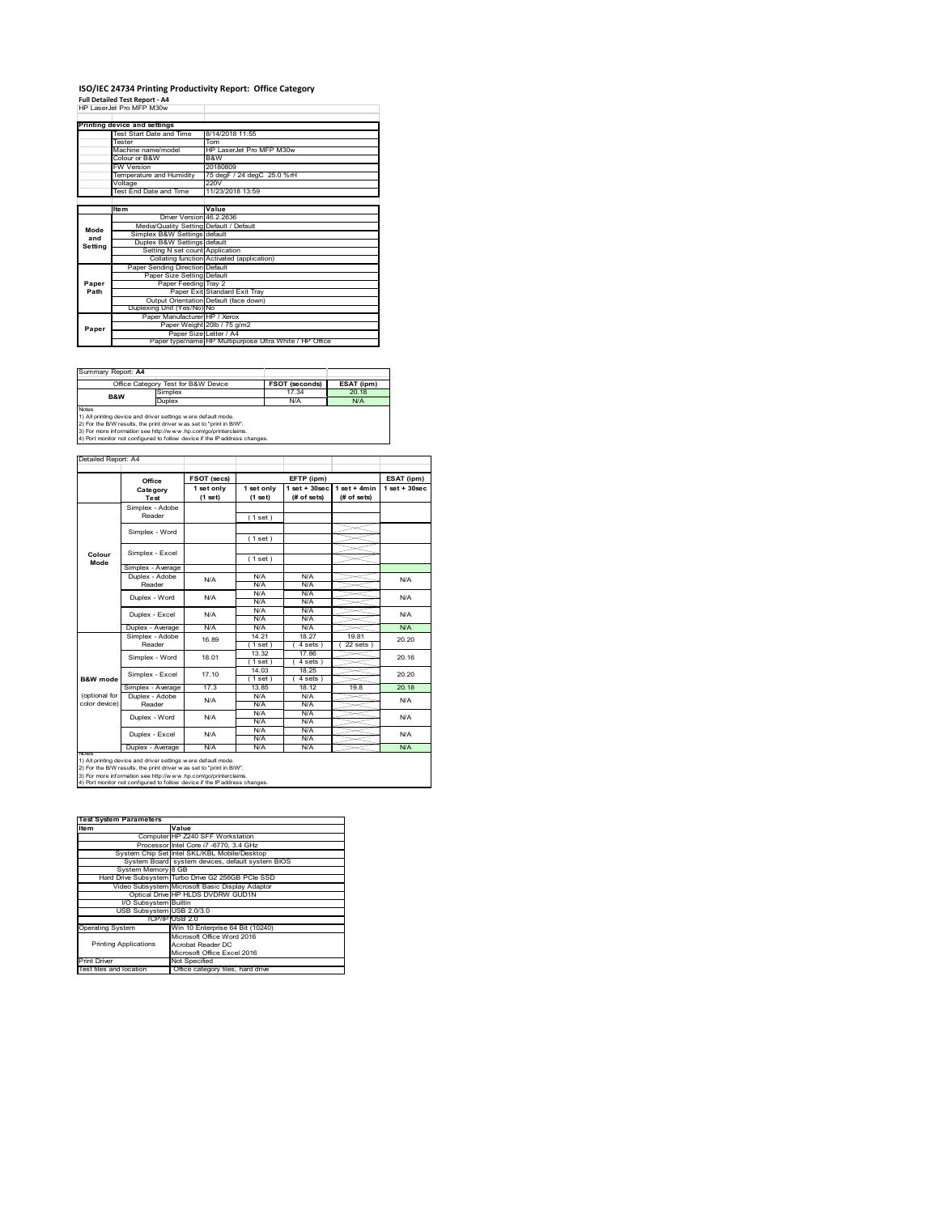# **ISO/IEC 24734 Printing Productivity Report: Office Category<br>Full Detailed Test Report - A4<br>HP LaserJet Pro MFP M30w**

|         | <b>FIF LASCIJCIFIO MFF MJOW</b>         |                                                         |
|---------|-----------------------------------------|---------------------------------------------------------|
|         |                                         |                                                         |
|         | Printing device and settings            |                                                         |
|         | Test Start Date and Time                | 8/14/2018 11:55                                         |
|         | <b>Tester</b>                           | Tom                                                     |
|         | Machine name/model                      | HP LaserJet Pro MFP M30w                                |
|         | Colour or B&W                           | B&W                                                     |
|         | <b>FW Version</b>                       | 20180809                                                |
|         | Temperature and Humidity                | 75 degF / 24 degC 25.0 %rH                              |
|         | Voltage                                 | 220V                                                    |
|         | Test End Date and Time                  | 11/23/2018 13:59                                        |
|         |                                         |                                                         |
|         | <b>Item</b>                             | Value                                                   |
|         | Driver Version 46.2.2636                |                                                         |
| Mode    | Media/Quality Setting Default / Default |                                                         |
| and     | Simplex B&W Settings default            |                                                         |
| Setting | Duplex B&W Settings default             |                                                         |
|         | Setting N set count Application         |                                                         |
|         |                                         | Collating function Activated (application)              |
|         | Paper Sending Direction Default         |                                                         |
|         | Paper Size Setting Default              |                                                         |
| Paper   | Paper Feeding Tray 2                    |                                                         |
| Path    |                                         | Paper Exit Standard Exit Tray                           |
|         |                                         | Output Orientation Default (face down)                  |
|         | Duplexing Unit (Yes/No) No              |                                                         |
|         | Paper Manufacturer HP / Xerox           |                                                         |
| Paper   |                                         | Paper Weight 20lb / 75 g/m2                             |
|         |                                         | Paper Size Letter / A4                                  |
|         |                                         | Paper type/name HP Multipurpose Ultra White / HP Office |

| Summary Report: A4 |                                                                                                                                                                                                                                                                                       |                       |            |  |
|--------------------|---------------------------------------------------------------------------------------------------------------------------------------------------------------------------------------------------------------------------------------------------------------------------------------|-----------------------|------------|--|
|                    | Office Category Test for B&W Device                                                                                                                                                                                                                                                   | <b>FSOT (seconds)</b> | ESAT (ipm) |  |
| Simplex<br>B&W     |                                                                                                                                                                                                                                                                                       | 17.34                 | 20.18      |  |
| Duplex             |                                                                                                                                                                                                                                                                                       | N/A                   | N/A        |  |
| <b>Notes</b>       | 1) All printing device and driver settings were default mode.<br>2) For the B/W results, the print driver was set to "print in B/W".<br>3) For more information see http://www.hp.com/go/printerclaims.<br>4) Port monitor not configured to follow device if the IP address changes. |                       |            |  |

|                | Office                    | FSOT (secs)           |                       | EFTP (ipm)                        |                               | ESAT (ipm)        |  |
|----------------|---------------------------|-----------------------|-----------------------|-----------------------------------|-------------------------------|-------------------|--|
|                | Category<br><b>Test</b>   | 1 set only<br>(1 set) | 1 set only<br>(1 set) | $1$ set + $30$ sec<br>(# of sets) | $1$ set + 4min<br>(# of sets) | $1$ set $+30$ sec |  |
|                | Simplex - Adobe           |                       |                       |                                   |                               |                   |  |
|                | Reader                    |                       | (1 set)               |                                   |                               |                   |  |
|                |                           |                       |                       |                                   |                               |                   |  |
|                | Simplex - Word            |                       | (1 set)               |                                   |                               |                   |  |
|                | Simplex - Excel           |                       |                       |                                   |                               |                   |  |
| Colour<br>Mode |                           |                       | (1 set)               |                                   |                               |                   |  |
|                | Simplex - Average         |                       |                       |                                   |                               |                   |  |
|                | Duplex - Adobe            | N/A                   | N/A                   | N/A                               |                               | N/A               |  |
|                | Reader                    |                       | N/A                   | N/A                               |                               |                   |  |
|                | Duplex - Word             | N/A                   | N/A                   | N/A                               |                               | N/A               |  |
|                |                           |                       | N/A                   | N/A                               |                               |                   |  |
|                | Duplex - Excel            | N/A                   | N/A                   | N/A                               |                               | N/A               |  |
|                |                           |                       | N/A                   | N/A                               |                               |                   |  |
|                | Duplex - Average          | N/A                   | N/A                   | N/A                               |                               | N/A               |  |
|                | Simplex - Adobe<br>Reader | 16.89                 | 14.21                 | 18.27                             | 19.81                         | 20.20             |  |
|                |                           |                       | (1 set)               | 4 sets 1                          | 22 sets                       |                   |  |
|                | Simplex - Word            | 18.01                 | 13.32                 | 17.86                             |                               | 20.16             |  |
|                |                           |                       | (1 set)               | 4 sets)                           |                               |                   |  |
|                | Simplex - Excel           | 17.10                 | 14.03                 | 18.25                             |                               | 20.20             |  |
| B&W mode       |                           |                       | (1 set )              | 4 sets)                           |                               |                   |  |
|                | Simplex - Average         | 17.3                  | 13.85                 | 18 12                             | 198                           | 20.18             |  |
| (optional for  | Duplex - Adobe            | N/A                   | N/A                   | N/A                               |                               | <b>N/A</b>        |  |
| color device)  | Reader                    |                       | N/A                   | N/A                               |                               |                   |  |
|                | Duplex - Word             | N/A                   | N/A                   | N/A                               |                               | <b>N/A</b>        |  |
|                |                           |                       | N/A                   | N/A                               |                               |                   |  |
|                |                           | N/A                   | N/A                   | N/A                               |                               | N/A               |  |
|                | Duplex - Excel            |                       | N/A                   | N/A                               |                               |                   |  |
|                | Duplex - Average          | N/A                   | N/A                   | N/A                               |                               | N/A               |  |

2) For the B/W results, the print driver w as set to "print in B/W".<br>3) For more information see http://w w w .hp.com/go/printerclaims.<br>4) Port monitor not configured to follow device if the IP address changes.

| <b>Test System Parameters</b> |                                                    |
|-------------------------------|----------------------------------------------------|
| Item                          | Value                                              |
|                               | Computer HP Z240 SFF Workstation                   |
|                               | Processor Intel Core i7 -6770, 3.4 GHz             |
|                               | System Chip Set Intel SKL/KBL Mobile/Desktop       |
|                               | System Board system devices, default system BIOS   |
| System Memory 8 GB            |                                                    |
|                               | Hard Drive Subsystem Turbo Drive G2 256GB PCle SSD |
|                               | Video Subsystem Microsoft Basic Display Adaptor    |
|                               | Optical Drive HP HLDS DVDRW GUD1N                  |
| I/O Subsystem Builtin         |                                                    |
| USB Subsystem USB 2.0/3.0     |                                                    |
|                               | TCP/IPIUSB 2.0                                     |
| <b>Operating System</b>       | Win 10 Enterprise 64 Bit (10240)                   |
|                               | Microsoft Office Word 2016                         |
| <b>Printing Applications</b>  | Acrobat Reader DC                                  |
|                               | Microsoft Office Excel 2016                        |
| <b>Print Driver</b>           | Not Specified                                      |
| Test files and location       | Office category files, hard drive                  |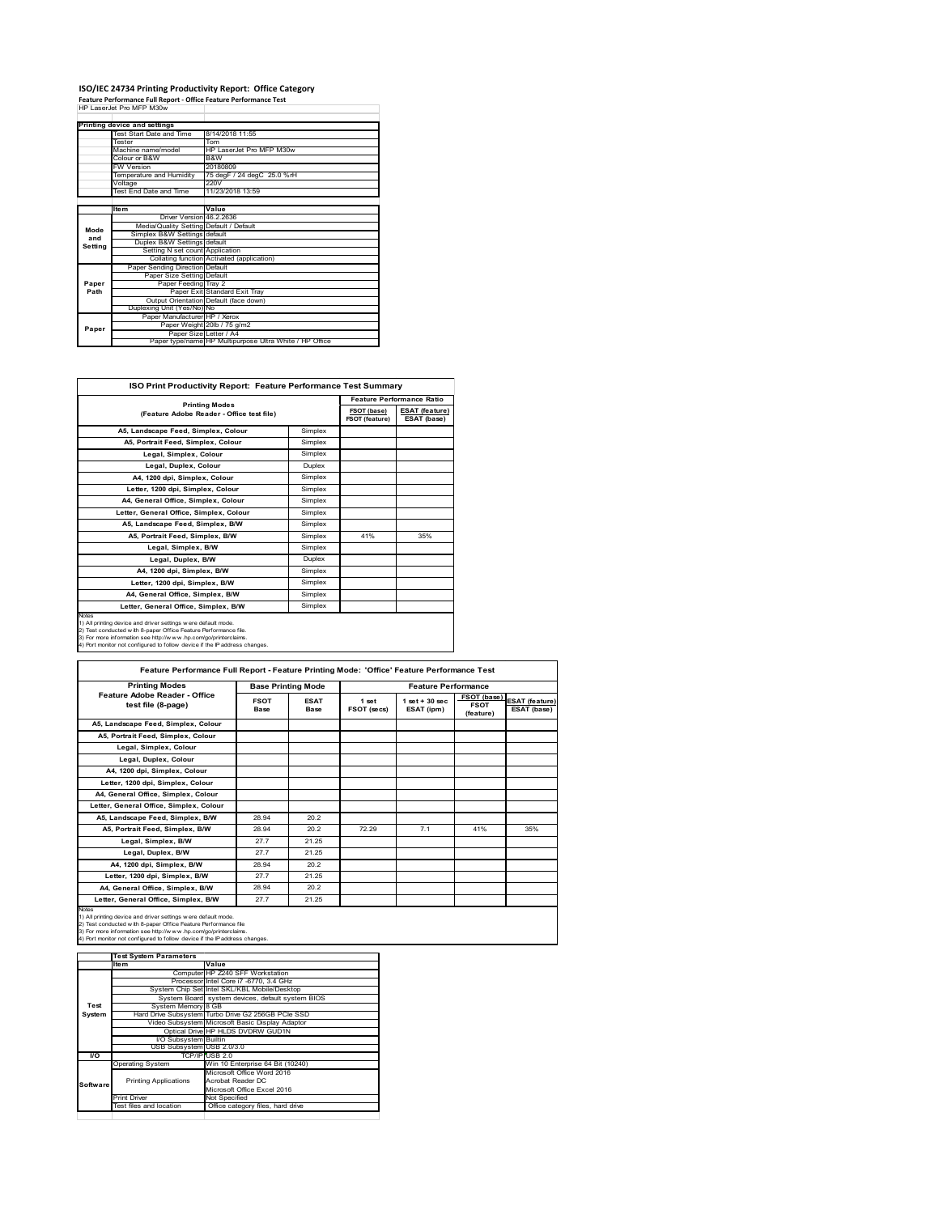## **ISO/IEC 24734 Printing Productivity Report: Office Category Feature Performance Full Report ‐ Office Feature Performance Test** HP LaserJet Pro MFP M30w

|         | Printing device and settings            |                                                         |
|---------|-----------------------------------------|---------------------------------------------------------|
|         | Test Start Date and Time                | 8/14/2018 11:55                                         |
|         | <b>Tester</b>                           | Tom                                                     |
|         | Machine name/model                      | HP Laser let Pro MFP M30w                               |
|         | Colour or B&W                           | B&W                                                     |
|         | <b>FW Version</b>                       | 20180809                                                |
|         | Temperature and Humidity                | 75 degF / 24 degC 25.0 %rH                              |
|         | Voltage                                 | 220V                                                    |
|         | Test End Date and Time                  | 11/23/2018 13:59                                        |
|         |                                         |                                                         |
|         | <b>Item</b>                             | Value                                                   |
|         | Driver Version 46.2.2636                |                                                         |
| Mode    | Media/Quality Setting Default / Default |                                                         |
| and     | Simplex B&W Settings default            |                                                         |
| Setting | Duplex B&W Settings default             |                                                         |
|         | Setting N set count Application         |                                                         |
|         |                                         | Collating function Activated (application)              |
|         | Paper Sending Direction Default         |                                                         |
|         | Paper Size Setting Default              |                                                         |
| Paper   | Paper Feeding Tray 2                    |                                                         |
| Path    |                                         | Paper Exit Standard Exit Tray                           |
|         |                                         | Output Orientation Default (face down)                  |
|         | Duplexing Unit (Yes/No) No              |                                                         |
|         | Paper Manufacturer HP / Xerox           |                                                         |
| Paper   |                                         | Paper Weight 20lb / 75 g/m2                             |
|         | Paper Size Letter / A4                  |                                                         |
|         |                                         | Paper type/name HP Multipurpose Ultra White / HP Office |

| ISO Print Productivity Report: Feature Performance Test Summary                                                                                                                                                                                                                                   |                       |     |                                      |  |  |
|---------------------------------------------------------------------------------------------------------------------------------------------------------------------------------------------------------------------------------------------------------------------------------------------------|-----------------------|-----|--------------------------------------|--|--|
|                                                                                                                                                                                                                                                                                                   |                       |     |                                      |  |  |
| (Feature Adobe Reader - Office test file)                                                                                                                                                                                                                                                         | <b>Printing Modes</b> |     | <b>ESAT</b> (feature)<br>ESAT (base) |  |  |
| A5, Landscape Feed, Simplex, Colour                                                                                                                                                                                                                                                               | Simplex               |     |                                      |  |  |
| A5, Portrait Feed, Simplex, Colour                                                                                                                                                                                                                                                                | Simplex               |     |                                      |  |  |
| Legal, Simplex, Colour                                                                                                                                                                                                                                                                            | Simplex               |     |                                      |  |  |
| Legal, Duplex, Colour                                                                                                                                                                                                                                                                             | Duplex                |     |                                      |  |  |
| A4. 1200 dpi. Simplex. Colour                                                                                                                                                                                                                                                                     | Simplex               |     |                                      |  |  |
| Letter, 1200 dpi, Simplex, Colour                                                                                                                                                                                                                                                                 | Simplex               |     |                                      |  |  |
| A4. General Office. Simplex. Colour                                                                                                                                                                                                                                                               | Simplex               |     |                                      |  |  |
| Letter, General Office, Simplex, Colour                                                                                                                                                                                                                                                           | Simplex               |     |                                      |  |  |
| A5. Landscape Feed. Simplex, B/W                                                                                                                                                                                                                                                                  | Simplex               |     |                                      |  |  |
| A5, Portrait Feed, Simplex, B/W                                                                                                                                                                                                                                                                   | Simplex               | 41% | 35%                                  |  |  |
| Legal, Simplex, B/W                                                                                                                                                                                                                                                                               | Simplex               |     |                                      |  |  |
| Legal, Duplex, B/W                                                                                                                                                                                                                                                                                | Duplex                |     |                                      |  |  |
| A4, 1200 dpi, Simplex, B/W                                                                                                                                                                                                                                                                        | Simplex               |     |                                      |  |  |
| Letter, 1200 dpi, Simplex, B/W                                                                                                                                                                                                                                                                    | Simplex               |     |                                      |  |  |
| A4, General Office, Simplex, B/W                                                                                                                                                                                                                                                                  | Simplex               |     |                                      |  |  |
| Letter, General Office, Simplex, B/W                                                                                                                                                                                                                                                              | Simplex               |     |                                      |  |  |
| <b>Notes</b><br>1) All printing device and driver settings were default mode.<br>2) Test conducted with 8-paper Office Feature Performance file.<br>3) For more information see http://www.hp.com/go/printerclaims.<br>4) Port monitor not configured to follow device if the IP address changes. |                       |     |                                      |  |  |

| <b>Printing Modes</b>                               |                     | <b>Base Printing Mode</b> |                      | <b>Feature Performance</b>       |                                                |                                      |
|-----------------------------------------------------|---------------------|---------------------------|----------------------|----------------------------------|------------------------------------------------|--------------------------------------|
| Feature Adobe Reader - Office<br>test file (8-page) | <b>FSOT</b><br>Base | <b>ESAT</b><br>Base       | 1 set<br>FSOT (secs) | $1$ set $+30$ sec.<br>ESAT (ipm) | <b>FSOT</b> (base)<br><b>FSOT</b><br>(feature) | <b>ESAT (feature)</b><br>ESAT (base) |
| A5. Landscape Feed. Simplex. Colour                 |                     |                           |                      |                                  |                                                |                                      |
| A5, Portrait Feed, Simplex, Colour                  |                     |                           |                      |                                  |                                                |                                      |
| Legal, Simplex, Colour                              |                     |                           |                      |                                  |                                                |                                      |
| Legal, Duplex, Colour                               |                     |                           |                      |                                  |                                                |                                      |
| A4, 1200 dpi, Simplex, Colour                       |                     |                           |                      |                                  |                                                |                                      |
| Letter, 1200 dpi, Simplex, Colour                   |                     |                           |                      |                                  |                                                |                                      |
| A4, General Office, Simplex, Colour                 |                     |                           |                      |                                  |                                                |                                      |
| Letter, General Office, Simplex, Colour             |                     |                           |                      |                                  |                                                |                                      |
| A5, Landscape Feed, Simplex, B/W                    | 28.94               | 20.2                      |                      |                                  |                                                |                                      |
| A5, Portrait Feed, Simplex, B/W                     | 28.94               | 20.2                      | 72.29                | 7.1                              | 41%                                            | 35%                                  |
| Legal, Simplex, B/W                                 | 27.7                | 21.25                     |                      |                                  |                                                |                                      |
| Legal, Duplex, B/W                                  | 27.7                | 21.25                     |                      |                                  |                                                |                                      |
| A4, 1200 dpi, Simplex, B/W                          | 28.94               | 20.2                      |                      |                                  |                                                |                                      |
| Letter, 1200 dpi, Simplex, B/W                      | 27.7                | 21.25                     |                      |                                  |                                                |                                      |
| A4, General Office, Simplex, B/W                    | 28.94               | 20.2                      |                      |                                  |                                                |                                      |
| Letter, General Office, Simplex, B/W                | 27.7                | 21.25                     |                      |                                  |                                                |                                      |

1) All printing device and driver settings were default mode.<br>2) Test conducted with 8-paper Office Feature Performance file<br>3) For more information see http://www.hp.com/go/printerclaims.<br>4) Port monitor not configured to

|           | <b>Test System Parameters</b> |                                                    |
|-----------|-------------------------------|----------------------------------------------------|
|           | Item                          | Value                                              |
|           |                               | Computer HP Z240 SFF Workstation                   |
|           |                               | Processor Intel Core i7 -6770, 3.4 GHz             |
|           |                               | System Chip Set Intel SKL/KBL Mobile/Desktop       |
|           |                               | System Board system devices, default system BIOS   |
| Test      | System Memory 8 GB            |                                                    |
| System    |                               | Hard Drive Subsystem Turbo Drive G2 256GB PCle SSD |
|           |                               | Video Subsystem Microsoft Basic Display Adaptor    |
|           |                               | Optical Drive HP HLDS DVDRW GUD1N                  |
|           | <b>VO Subsystem Builtin</b>   |                                                    |
|           | USB Subsystem USB 2.0/3.0     |                                                    |
| <b>VO</b> |                               | TCP/IP USB 2.0                                     |
|           | <b>Operating System</b>       | Win 10 Enterprise 64 Bit (10240)                   |
|           |                               | Microsoft Office Word 2016                         |
| Software  | <b>Printing Applications</b>  | Acrobat Reader DC                                  |
|           |                               | Microsoft Office Excel 2016                        |
|           | <b>Print Driver</b>           | Not Specified                                      |
|           | Test files and location       | Office category files, hard drive                  |
|           |                               |                                                    |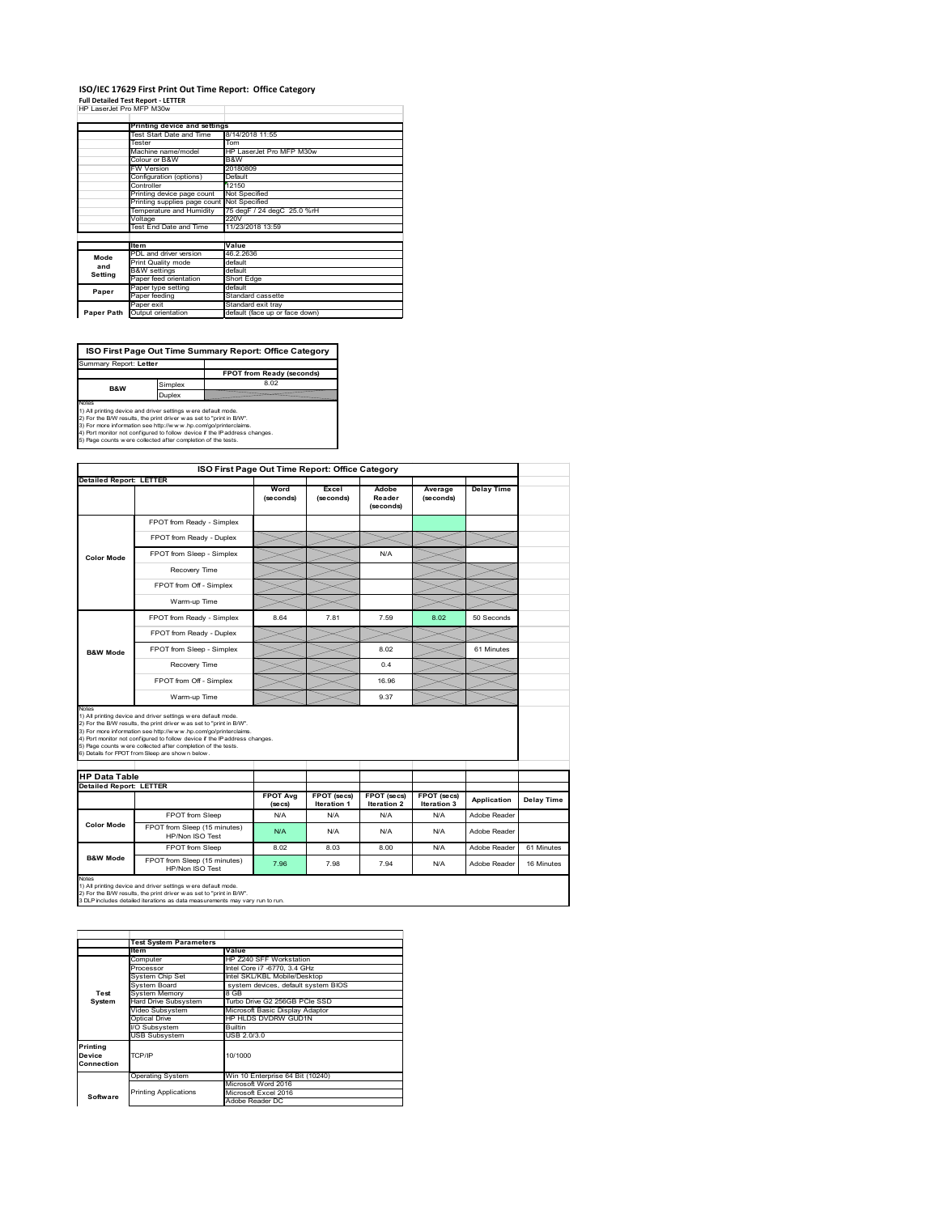## **ISO/IEC 17629 First Print Out Time Report: Office Category**

| <b>Full Detailed Test Report - LETTER</b> |  |
|-------------------------------------------|--|
| HP LaserJet Pro MFP M30w                  |  |

|            | Printing device and settings               |                                |  |  |
|------------|--------------------------------------------|--------------------------------|--|--|
|            | Test Start Date and Time                   | 8/14/2018 11:55                |  |  |
|            | Tester                                     | Tom                            |  |  |
|            | Machine name/model                         | HP LaserJet Pro MFP M30w       |  |  |
|            | Colour or B&W                              | B&W                            |  |  |
|            | <b>FW Version</b>                          | 20180809                       |  |  |
|            | Configuration (options)                    | Default                        |  |  |
|            | Controller                                 | 12150                          |  |  |
|            | Printing device page count                 | Not Specified                  |  |  |
|            | Printing supplies page count Not Specified |                                |  |  |
|            | Temperature and Humidity                   | 75 degF / 24 degC 25.0 %rH     |  |  |
|            | Voltage                                    | 220V                           |  |  |
|            | Test End Date and Time                     | 11/23/2018 13:59               |  |  |
|            |                                            |                                |  |  |
|            | <b>Item</b>                                | Value                          |  |  |
| Mode       | PDL and driver version                     | 46.2.2636                      |  |  |
| and        | Print Quality mode                         | default                        |  |  |
|            | <b>B&amp;W</b> settings                    | default                        |  |  |
| Setting    | Paper feed orientation                     | Short Edge                     |  |  |
| Paper      | Paper type setting                         | default                        |  |  |
|            | Paper feeding                              | Standard cassette              |  |  |
|            | Paper exit                                 | Standard exit tray             |  |  |
| Paper Path | Output orientation                         | default (face up or face down) |  |  |

**FPOT from Ready (seconds)**<br>Simplex 8.02 **ISO First Page Out Time Summary Report: Office Category** rt: **Letter B&W**

**Duplex**<br>Notes<br>1) All printing device and driver settings were default mode.<br>2) For the BM results, the print driver was set to "print in BM".<br>4) For more information see http://www.hp.com/golprinterclaims.<br>4) Port monitor

|                                                                 |                                                                                                                                                                                                                                                                                                                                                                                                             |                            | ISO First Page Out Time Report: Office Category |                              |                            |                   |            |
|-----------------------------------------------------------------|-------------------------------------------------------------------------------------------------------------------------------------------------------------------------------------------------------------------------------------------------------------------------------------------------------------------------------------------------------------------------------------------------------------|----------------------------|-------------------------------------------------|------------------------------|----------------------------|-------------------|------------|
|                                                                 | <b>Detailed Report: LETTER</b>                                                                                                                                                                                                                                                                                                                                                                              | Word<br>(seconds)          | Excel<br>(seconds)                              | Adobe<br>Reader<br>(seconds) | Average<br>(seconds)       | <b>Delay Time</b> |            |
|                                                                 | FPOT from Ready - Simplex                                                                                                                                                                                                                                                                                                                                                                                   |                            |                                                 |                              |                            |                   |            |
|                                                                 | FPOT from Ready - Duplex                                                                                                                                                                                                                                                                                                                                                                                    |                            |                                                 |                              |                            |                   |            |
| <b>Color Mode</b>                                               | FPOT from Sleep - Simplex                                                                                                                                                                                                                                                                                                                                                                                   |                            |                                                 | N/A                          |                            |                   |            |
|                                                                 | Recovery Time                                                                                                                                                                                                                                                                                                                                                                                               |                            |                                                 |                              |                            |                   |            |
|                                                                 | FPOT from Off - Simplex                                                                                                                                                                                                                                                                                                                                                                                     |                            |                                                 |                              |                            |                   |            |
|                                                                 | Warm-up Time                                                                                                                                                                                                                                                                                                                                                                                                |                            |                                                 |                              |                            |                   |            |
|                                                                 | FPOT from Ready - Simplex                                                                                                                                                                                                                                                                                                                                                                                   | 8.64                       | 7.81                                            | 7.59                         | 8.02                       | 50 Seconds        |            |
|                                                                 | FPOT from Ready - Duplex                                                                                                                                                                                                                                                                                                                                                                                    |                            |                                                 |                              |                            |                   |            |
| <b>B&amp;W Mode</b>                                             | FPOT from Sleep - Simplex                                                                                                                                                                                                                                                                                                                                                                                   |                            |                                                 | 8.02                         |                            | 61 Minutes        |            |
|                                                                 | Recovery Time                                                                                                                                                                                                                                                                                                                                                                                               |                            |                                                 | 0.4                          |                            |                   |            |
|                                                                 | FPOT from Off - Simplex                                                                                                                                                                                                                                                                                                                                                                                     |                            |                                                 | 16.96                        |                            |                   |            |
|                                                                 |                                                                                                                                                                                                                                                                                                                                                                                                             |                            |                                                 |                              |                            |                   |            |
|                                                                 | Warm-up Time                                                                                                                                                                                                                                                                                                                                                                                                |                            |                                                 | 9.37                         |                            |                   |            |
|                                                                 | 1) All printing device and driver settings w ere default mode.<br>2) For the B/W results, the print driver was set to "print in B/W".<br>3) For more information see http://www.hp.com/go/printerclaims.<br>4) Port monitor not configured to follow device if the IP address changes.<br>5) Page counts w ere collected after completion of the tests.<br>6) Details for FPOT from Sleep are show n below. |                            |                                                 |                              |                            |                   |            |
|                                                                 |                                                                                                                                                                                                                                                                                                                                                                                                             |                            |                                                 |                              |                            |                   |            |
| Notes<br><b>HP Data Table</b><br><b>Detailed Report: LETTER</b> |                                                                                                                                                                                                                                                                                                                                                                                                             | <b>FPOT Avg</b><br>(se cs) | FPOT (secs)<br>Iteration 1                      | FPOT (secs)<br>Iteration 2   | FPOT (secs)<br>Iteration 3 | Application       | Delay Time |
|                                                                 | FPOT from Sleep                                                                                                                                                                                                                                                                                                                                                                                             | N/A                        | N/A                                             | N/A                          | N/A                        | Adobe Reader      |            |
| <b>Color Mode</b>                                               | FPOT from Sleep (15 minutes)<br>HP/Non ISO Test                                                                                                                                                                                                                                                                                                                                                             | N/A                        | N/A                                             | N/A                          | N/A                        | Adobe Reader      |            |
|                                                                 | FPOT from Sleep                                                                                                                                                                                                                                                                                                                                                                                             | 8.02                       | 8.03                                            | 8.00                         | N/A                        | Adobe Reader      | 61 Minutes |

1) All printing device and driver settings w ere default mode.<br>2) For the B/W results, the print driver w as set to "print in B/W".<br>3 DLP includes detailed iterations as data measurements may vary run to run.

|            | <b>Test System Parameters</b> |                                     |  |  |
|------------|-------------------------------|-------------------------------------|--|--|
|            | Item                          | Value                               |  |  |
|            | Computer                      | HP Z240 SFF Workstation             |  |  |
|            | Processor                     | Intel Core i7 -6770, 3.4 GHz        |  |  |
|            | System Chip Set               | Intel SKL/KBL Mobile/Desktop        |  |  |
|            | System Board                  | system devices, default system BIOS |  |  |
| Test       | <b>System Memory</b>          | 8 GB                                |  |  |
| System     | <b>Hard Drive Subsystem</b>   | Turbo Drive G2 256GB PCle SSD       |  |  |
|            | Video Subsystem               | Microsoft Basic Display Adaptor     |  |  |
|            | Optical Drive                 | HP HLDS DVDRW GUD1N                 |  |  |
|            | I/O Subsystem                 | Builtin                             |  |  |
|            | <b>USB Subsystem</b>          | USB 2.0/3.0                         |  |  |
| Printing   |                               |                                     |  |  |
| Device     | TCP/IP                        | 10/1000                             |  |  |
| Connection |                               |                                     |  |  |
|            |                               |                                     |  |  |
|            | <b>Operating System</b>       | Win 10 Enterprise 64 Bit (10240)    |  |  |
|            |                               | Microsoft Word 2016                 |  |  |
| Software   | <b>Printing Applications</b>  | Microsoft Excel 2016                |  |  |
|            |                               | Adobe Reader DC                     |  |  |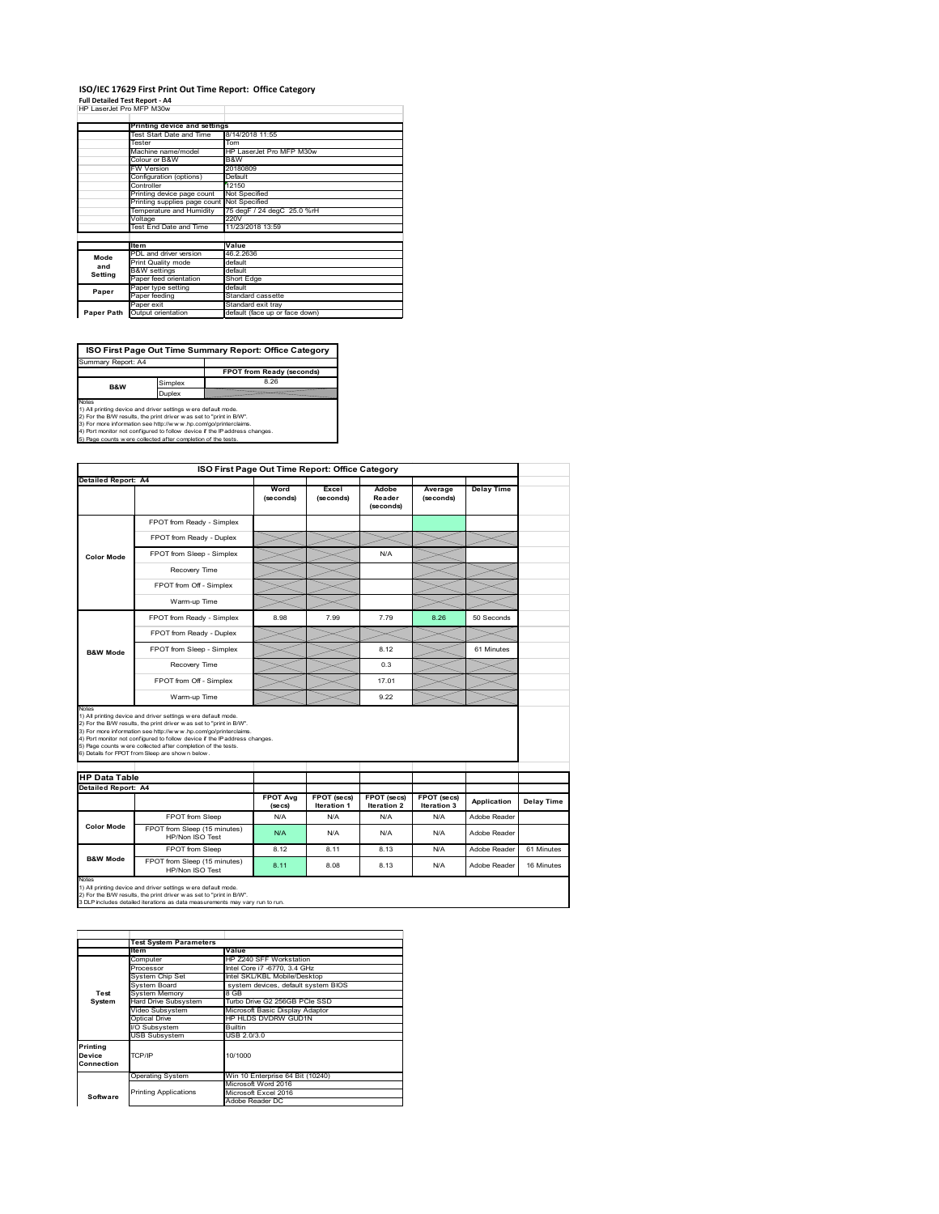#### **ISO/IEC 17629 First Print Out Time Report: Office Category Full Detailed Test Report ‐ A4**

|  | HP LaserJet Pro MFP M30w |  |  |
|--|--------------------------|--|--|

|            | Printing device and settings |                                |  |
|------------|------------------------------|--------------------------------|--|
|            | Test Start Date and Time     | 8/14/2018 11:55                |  |
|            | Tester                       | Tom                            |  |
|            | Machine name/model           |                                |  |
|            |                              | HP LaserJet Pro MFP M30w       |  |
|            | Colour or B&W                | B&W                            |  |
|            | <b>FW Version</b>            | 20180809                       |  |
|            | Configuration (options)      | Default                        |  |
|            | Controller                   | 12150                          |  |
|            | Printing device page count   | Not Specified                  |  |
|            | Printing supplies page count | Not Specified                  |  |
|            | Temperature and Humidity     | 75 degF / 24 degC 25.0 %rH     |  |
|            | Voltage                      | 220V                           |  |
|            | Test End Date and Time       | 11/23/2018 13:59               |  |
|            |                              |                                |  |
|            | <b>Item</b>                  | Value                          |  |
| Mode       | PDL and driver version       | 46.2.2636                      |  |
| and        | Print Quality mode           | default                        |  |
|            | <b>B&amp;W</b> settings      | default                        |  |
| Setting    | Paper feed orientation       | Short Edge                     |  |
| Paper      | Paper type setting           | default                        |  |
|            | Paper feeding                | Standard cassette              |  |
|            | Paper exit                   | Standard exit tray             |  |
| Paper Path | Output orientation           | default (face up or face down) |  |

**ISO First Page Out Time Summary Report: Office Category**

**FPOT from Ready (seconds)** Simplex 8.26 Duplex Notes<br>1) All printing device and driver settings were default mode.<br>2) For the BAV results, the print driver was set to "print in BAV".<br>3) For more information see http://www.hp.com/golprinterclaims.<br>4) Port monitor not co Summary Report: A4 **B&W**

|                                             | ISO First Page Out Time Report: Office Category                                                                                                                                                                                                                                                                                                                                                             |                            |                            |                              |                            |                   |            |
|---------------------------------------------|-------------------------------------------------------------------------------------------------------------------------------------------------------------------------------------------------------------------------------------------------------------------------------------------------------------------------------------------------------------------------------------------------------------|----------------------------|----------------------------|------------------------------|----------------------------|-------------------|------------|
| <b>Detailed Report: A4</b>                  |                                                                                                                                                                                                                                                                                                                                                                                                             |                            |                            |                              |                            |                   |            |
|                                             |                                                                                                                                                                                                                                                                                                                                                                                                             | Word<br>(seconds)          | Excel<br>(seconds)         | Adobe<br>Reader<br>(seconds) | Average<br>(seconds)       | <b>Delay Time</b> |            |
|                                             | FPOT from Ready - Simplex                                                                                                                                                                                                                                                                                                                                                                                   |                            |                            |                              |                            |                   |            |
|                                             | FPOT from Ready - Duplex                                                                                                                                                                                                                                                                                                                                                                                    |                            |                            |                              |                            |                   |            |
| <b>Color Mode</b>                           | FPOT from Sleep - Simplex                                                                                                                                                                                                                                                                                                                                                                                   |                            |                            | N/A                          |                            |                   |            |
|                                             | Recovery Time                                                                                                                                                                                                                                                                                                                                                                                               |                            |                            |                              |                            |                   |            |
|                                             | FPOT from Off - Simplex                                                                                                                                                                                                                                                                                                                                                                                     |                            |                            |                              |                            |                   |            |
|                                             | Warm-up Time                                                                                                                                                                                                                                                                                                                                                                                                |                            |                            |                              |                            |                   |            |
|                                             | FPOT from Ready - Simplex                                                                                                                                                                                                                                                                                                                                                                                   | 8.98                       | 7.99                       | 7.79                         | 8.26                       | 50 Seconds        |            |
|                                             | FPOT from Ready - Duplex                                                                                                                                                                                                                                                                                                                                                                                    |                            |                            |                              |                            |                   |            |
| <b>B&amp;W Mode</b>                         | FPOT from Sleep - Simplex                                                                                                                                                                                                                                                                                                                                                                                   |                            |                            | 8.12                         |                            | 61 Minutes        |            |
|                                             | Recovery Time                                                                                                                                                                                                                                                                                                                                                                                               |                            |                            | 0.3                          |                            |                   |            |
|                                             |                                                                                                                                                                                                                                                                                                                                                                                                             |                            |                            |                              |                            |                   |            |
|                                             | FPOT from Off - Simplex                                                                                                                                                                                                                                                                                                                                                                                     |                            |                            | 17.01                        |                            |                   |            |
| Notes                                       | Warm-up Time                                                                                                                                                                                                                                                                                                                                                                                                |                            |                            | 9.22                         |                            |                   |            |
| <b>HP Data Table</b><br>Detailed Report: A4 | 1) All printing device and driver settings w ere default mode.<br>2) For the B/W results, the print driver was set to "print in B/W".<br>3) For more information see http://www.hp.com/go/printerclaims.<br>4) Port monitor not configured to follow device if the IP address changes.<br>5) Page counts w ere collected after completion of the tests.<br>6) Details for FPOT from Sleep are show n below. |                            |                            |                              |                            |                   |            |
|                                             |                                                                                                                                                                                                                                                                                                                                                                                                             | <b>FPOT Avg</b><br>(se cs) | FPOT (secs)<br>Iteration 1 | FPOT (secs)<br>Iteration 2   | FPOT (secs)<br>Iteration 3 | Application       | Delay Time |
|                                             | FPOT from Sleep                                                                                                                                                                                                                                                                                                                                                                                             | N/A                        | N/A                        | N/A                          | N/A                        | Adobe Reader      |            |
| <b>Color Mode</b>                           | FPOT from Sleep (15 minutes)<br>HP/Non ISO Test                                                                                                                                                                                                                                                                                                                                                             | N/A                        | N/A                        | N/A                          | N/A                        | Adobe Reader      |            |
| <b>B&amp;W Mode</b>                         | FPOT from Sleep                                                                                                                                                                                                                                                                                                                                                                                             | 8.12                       | 8.11                       | 8.13                         | N/A                        | Adobe Reader      | 61 Minutes |

|            | <b>Test System Parameters</b> |                                     |  |  |
|------------|-------------------------------|-------------------------------------|--|--|
|            | Item                          | Value                               |  |  |
|            | Computer                      | HP Z240 SFF Workstation             |  |  |
|            | Processor                     | Intel Core i7 -6770, 3.4 GHz        |  |  |
|            | System Chip Set               | Intel SKL/KBL Mobile/Desktop        |  |  |
|            | System Board                  | system devices, default system BIOS |  |  |
| Test       | <b>System Memory</b>          | 8 GB                                |  |  |
| System     | <b>Hard Drive Subsystem</b>   | Turbo Drive G2 256GB PCle SSD       |  |  |
|            | Video Subsystem               | Microsoft Basic Display Adaptor     |  |  |
|            | Optical Drive                 | HP HLDS DVDRW GUD1N                 |  |  |
|            | I/O Subsystem                 | Builtin                             |  |  |
|            | <b>USB Subsystem</b>          | USB 2.0/3.0                         |  |  |
| Printing   |                               |                                     |  |  |
| Device     | TCP/IP                        | 10/1000                             |  |  |
| Connection |                               |                                     |  |  |
|            |                               |                                     |  |  |
|            | <b>Operating System</b>       | Win 10 Enterprise 64 Bit (10240)    |  |  |
|            |                               | Microsoft Word 2016                 |  |  |
| Software   | <b>Printing Applications</b>  | Microsoft Excel 2016                |  |  |
|            |                               | Adobe Reader DC                     |  |  |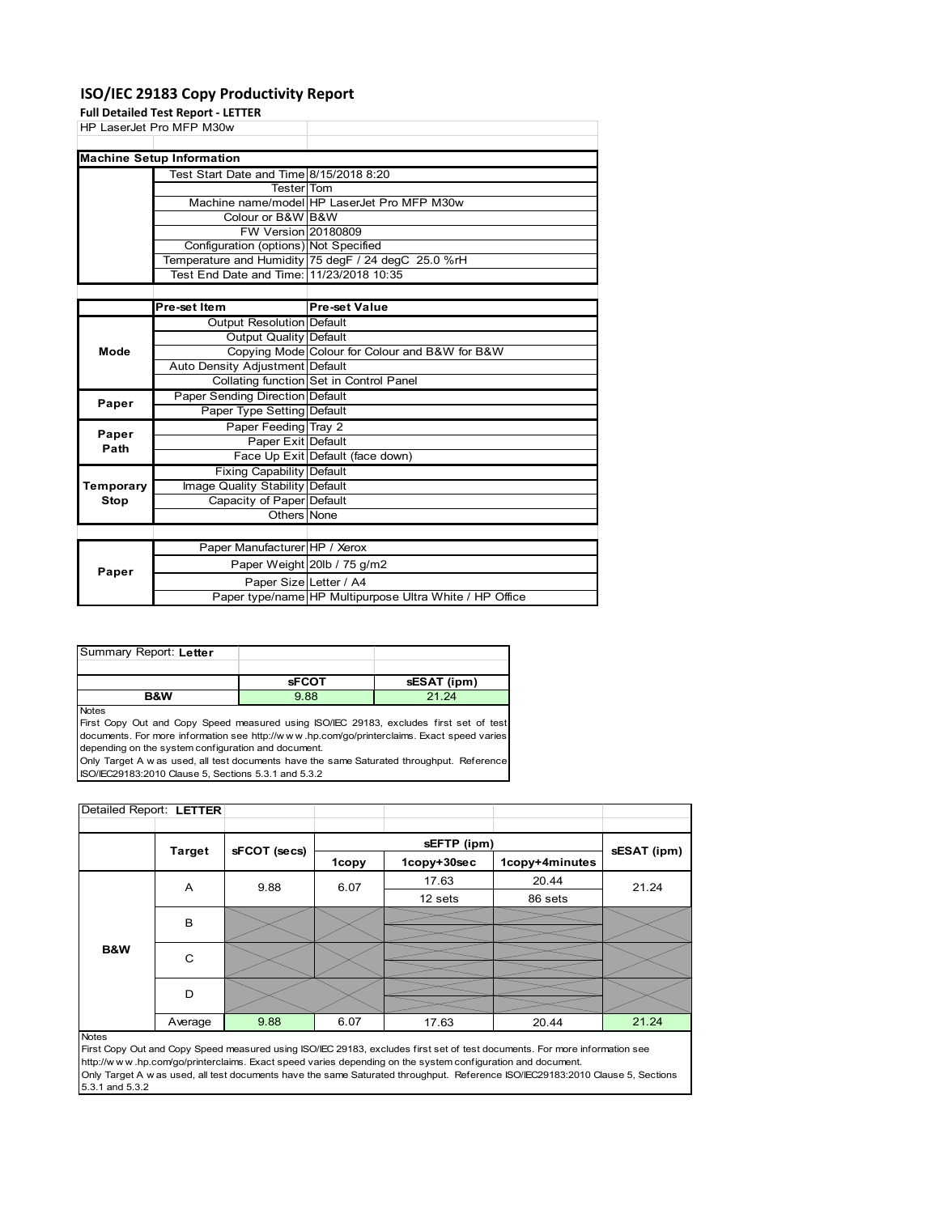### **ISO/IEC 29183 Copy Productivity Report**

**Full Detailed Test P** 

|             | Full Detailed Test Report - LETTER       |                                                     |
|-------------|------------------------------------------|-----------------------------------------------------|
|             | HP LaserJet Pro MFP M30w                 |                                                     |
|             |                                          |                                                     |
|             | <b>Machine Setup Information</b>         |                                                     |
|             | Test Start Date and Time 8/15/2018 8:20  |                                                     |
|             | <b>Tester</b> Tom                        |                                                     |
|             |                                          | Machine name/model HP LaserJet Pro MFP M30w         |
|             | Colour or B&W B&W                        |                                                     |
|             | <b>FW Version 20180809</b>               |                                                     |
|             | Configuration (options) Not Specified    |                                                     |
|             |                                          | Temperature and Humidity 75 degF / 24 degC 25.0 %rH |
|             | Test End Date and Time: 11/23/2018 10:35 |                                                     |
|             |                                          |                                                     |
|             | Pre-set Item                             | <b>Pre-set Value</b>                                |
|             | <b>Output Resolution Default</b>         |                                                     |
|             | Output Quality Default                   |                                                     |
| Mode        |                                          | Copying Mode Colour for Colour and B&W for B&W      |
|             | Auto Density Adjustment Default          |                                                     |
|             |                                          | Collating function Set in Control Panel             |
| Paper       | <b>Paper Sending Direction Default</b>   |                                                     |
|             | Paper Type Setting Default               |                                                     |
| Paper       | Paper Feeding Tray 2                     |                                                     |
| Path        | Paper Exit Default                       |                                                     |
|             |                                          | Face Up Exit Default (face down)                    |
|             | <b>Fixing Capability Default</b>         |                                                     |
| Temporary   | Image Quality Stability Default          |                                                     |
| <b>Stop</b> | Capacity of Paper Default                |                                                     |
|             | Others None                              |                                                     |
|             |                                          |                                                     |
|             | Paper Manufacturer HP / Xerox            |                                                     |
| Paper       |                                          | Paper Weight 20lb / 75 g/m2                         |
|             | Paper Size Letter / A4                   |                                                     |

| Summary Report: Letter |              |             |
|------------------------|--------------|-------------|
|                        |              |             |
|                        | <b>SFCOT</b> | sESAT (ipm) |
|                        |              |             |

Notes

First Copy Out and Copy Speed measured using ISO/IEC 29183, excludes first set of test documents. For more information see http://w w w .hp.com/go/printerclaims. Exact speed varies depending on the system configuration and document.

Only Target A w as used, all test documents have the same Saturated throughput. Reference ISO/IEC29183:2010 Clause 5, Sections 5.3.1 and 5.3.2

| Detailed Report: LETTER |               |              |       |             |                |             |
|-------------------------|---------------|--------------|-------|-------------|----------------|-------------|
|                         |               |              |       |             |                |             |
|                         | <b>Target</b> | sFCOT (secs) |       | sEFTP (ipm) |                | sESAT (ipm) |
|                         |               |              | 1copy | 1copy+30sec | 1copy+4minutes |             |
|                         | A             | 9.88         | 6.07  | 17.63       | 20.44          | 21.24       |
|                         |               |              |       | 12 sets     | 86 sets        |             |
|                         | B             |              |       |             |                |             |
|                         |               |              |       |             |                |             |
| B&W                     | C             |              |       |             |                |             |
|                         | D             |              |       |             |                |             |
|                         | Average       | 9.88         | 6.07  | 17.63       | 20.44          | 21.24       |
| <b>Notes</b>            |               |              |       |             |                |             |

Paper type/name HP Multipurpose Ultra White / HP Office

**Notes** 

First Copy Out and Copy Speed measured using ISO/IEC 29183, excludes first set of test documents. For more information see http://w w w .hp.com/go/printerclaims. Exact speed varies depending on the system configuration and document. Only Target A w as used, all test documents have the same Saturated throughput. Reference ISO/IEC29183:2010 Clause 5, Sections 5.3.1 and 5.3.2